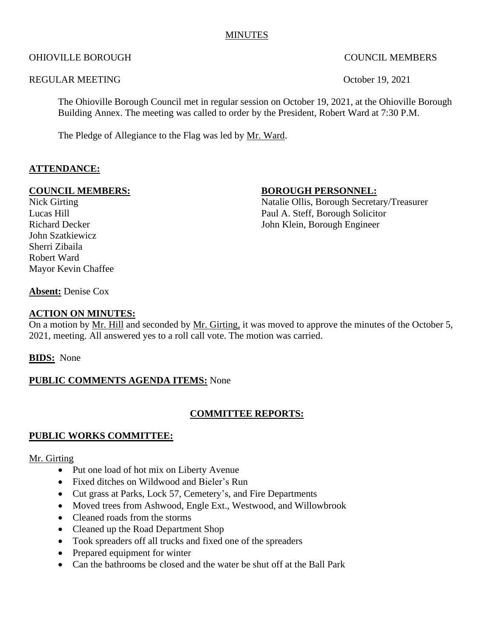## MINUTES

## OHIOVILLE BOROUGH COUNCIL MEMBERS

## REGULAR MEETING Coroler 19, 2021

The Ohioville Borough Council met in regular session on October 19, 2021, at the Ohioville Borough Building Annex. The meeting was called to order by the President, Robert Ward at 7:30 P.M.

The Pledge of Allegiance to the Flag was led by Mr. Ward.

## **ATTENDANCE:**

#### **COUNCIL MEMBERS:** BOROUGH PERSONNEL:

John Szatkiewicz Sherri Zibaila Robert Ward Mayor Kevin Chaffee

Nick Girting Natalie Ollis, Borough Secretary/Treasurer Lucas Hill Paul A. Steff, Borough Solicitor Richard Decker John Klein, Borough Engineer

**Absent:** Denise Cox

## **ACTION ON MINUTES:**

On a motion by Mr. Hill and seconded by Mr. Girting, it was moved to approve the minutes of the October 5, 2021, meeting. All answered yes to a roll call vote. The motion was carried.

**BIDS:** None

#### **PUBLIC COMMENTS AGENDA ITEMS:** None

#### **COMMITTEE REPORTS:**

#### **PUBLIC WORKS COMMITTEE:**

#### Mr. Girting

- Put one load of hot mix on Liberty Avenue
- Fixed ditches on Wildwood and Bieler's Run
- Cut grass at Parks, Lock 57, Cemetery's, and Fire Departments
- Moved trees from Ashwood, Engle Ext., Westwood, and Willowbrook
- Cleaned roads from the storms
- Cleaned up the Road Department Shop
- Took spreaders off all trucks and fixed one of the spreaders
- Prepared equipment for winter
- Can the bathrooms be closed and the water be shut off at the Ball Park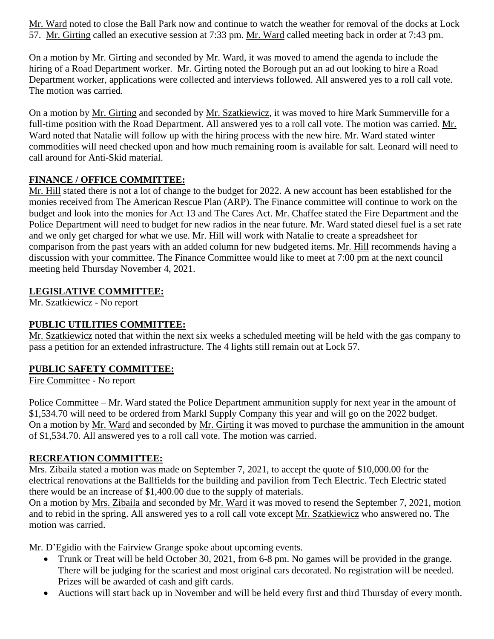Mr. Ward noted to close the Ball Park now and continue to watch the weather for removal of the docks at Lock 57. Mr. Girting called an executive session at 7:33 pm. Mr. Ward called meeting back in order at 7:43 pm.

On a motion by Mr. Girting and seconded by Mr. Ward, it was moved to amend the agenda to include the hiring of a Road Department worker. Mr. Girting noted the Borough put an ad out looking to hire a Road Department worker, applications were collected and interviews followed. All answered yes to a roll call vote. The motion was carried.

On a motion by Mr. Girting and seconded by Mr. Szatkiewicz, it was moved to hire Mark Summerville for a full-time position with the Road Department. All answered yes to a roll call vote. The motion was carried. Mr. Ward noted that Natalie will follow up with the hiring process with the new hire. Mr. Ward stated winter commodities will need checked upon and how much remaining room is available for salt. Leonard will need to call around for Anti-Skid material.

# **FINANCE / OFFICE COMMITTEE:**

Mr. Hill stated there is not a lot of change to the budget for 2022. A new account has been established for the monies received from The American Rescue Plan (ARP). The Finance committee will continue to work on the budget and look into the monies for Act 13 and The Cares Act. Mr. Chaffee stated the Fire Department and the Police Department will need to budget for new radios in the near future. Mr. Ward stated diesel fuel is a set rate and we only get charged for what we use. Mr. Hill will work with Natalie to create a spreadsheet for comparison from the past years with an added column for new budgeted items. Mr. Hill recommends having a discussion with your committee. The Finance Committee would like to meet at 7:00 pm at the next council meeting held Thursday November 4, 2021.

# **LEGISLATIVE COMMITTEE:**

Mr. Szatkiewicz - No report

## **PUBLIC UTILITIES COMMITTEE:**

Mr. Szatkiewicz noted that within the next six weeks a scheduled meeting will be held with the gas company to pass a petition for an extended infrastructure. The 4 lights still remain out at Lock 57.

# **PUBLIC SAFETY COMMITTEE:**

Fire Committee - No report

Police Committee – Mr. Ward stated the Police Department ammunition supply for next year in the amount of \$1,534.70 will need to be ordered from Markl Supply Company this year and will go on the 2022 budget. On a motion by Mr. Ward and seconded by Mr. Girting it was moved to purchase the ammunition in the amount of \$1,534.70. All answered yes to a roll call vote. The motion was carried.

# **RECREATION COMMITTEE:**

Mrs. Zibaila stated a motion was made on September 7, 2021, to accept the quote of \$10,000.00 for the electrical renovations at the Ballfields for the building and pavilion from Tech Electric. Tech Electric stated there would be an increase of \$1,400.00 due to the supply of materials.

On a motion by Mrs. Zibaila and seconded by Mr. Ward it was moved to resend the September 7, 2021, motion and to rebid in the spring. All answered yes to a roll call vote except Mr. Szatkiewicz who answered no. The motion was carried.

Mr. D'Egidio with the Fairview Grange spoke about upcoming events.

- Trunk or Treat will be held October 30, 2021, from 6-8 pm. No games will be provided in the grange. There will be judging for the scariest and most original cars decorated. No registration will be needed. Prizes will be awarded of cash and gift cards.
- Auctions will start back up in November and will be held every first and third Thursday of every month.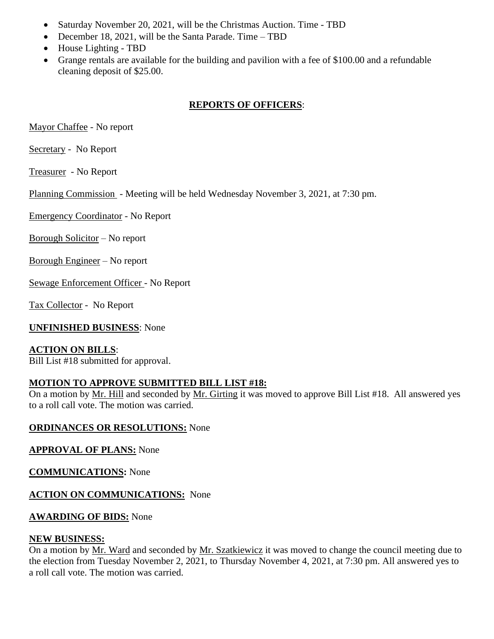- Saturday November 20, 2021, will be the Christmas Auction. Time TBD
- December 18, 2021, will be the Santa Parade. Time TBD
- House Lighting TBD
- Grange rentals are available for the building and pavilion with a fee of \$100.00 and a refundable cleaning deposit of \$25.00.

# **REPORTS OF OFFICERS**:

Mayor Chaffee - No report

Secretary - No Report

Treasurer - No Report

Planning Commission - Meeting will be held Wednesday November 3, 2021, at 7:30 pm.

Emergency Coordinator - No Report

Borough Solicitor – No report

Borough Engineer – No report

Sewage Enforcement Officer - No Report

Tax Collector - No Report

**UNFINISHED BUSINESS**: None

## **ACTION ON BILLS**:

Bill List #18 submitted for approval.

# **MOTION TO APPROVE SUBMITTED BILL LIST #18:**

On a motion by Mr. Hill and seconded by Mr. Girting it was moved to approve Bill List #18. All answered yes to a roll call vote. The motion was carried.

## **ORDINANCES OR RESOLUTIONS:** None

# **APPROVAL OF PLANS:** None

**COMMUNICATIONS:** None

## **ACTION ON COMMUNICATIONS:** None

## **AWARDING OF BIDS:** None

## **NEW BUSINESS:**

On a motion by Mr. Ward and seconded by Mr. Szatkiewicz it was moved to change the council meeting due to the election from Tuesday November 2, 2021, to Thursday November 4, 2021, at 7:30 pm. All answered yes to a roll call vote. The motion was carried.